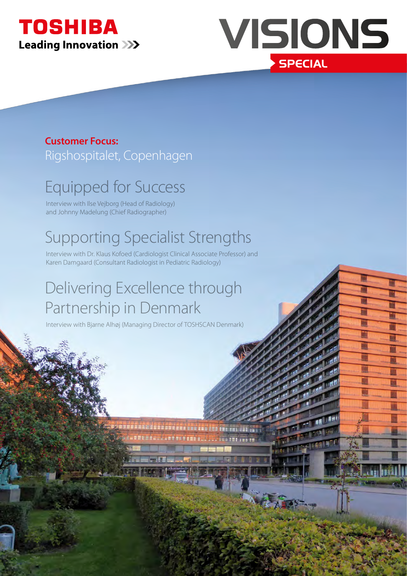



W

**TELES** 

# **Customer Focus:**

Rigshospitalet, Copenhagen

# Equipped for Success

Interview with Ilse Vejborg (Head of Radiology) and Johnny Madelung (Chief Radiographer)

# Supporting Specialist Strengths

Interview with Dr. Klaus Kofoed (Cardiologist Clinical Associate Professor) and Karen Damgaard (Consultant Radiologist in Pediatric Radiology)

# Delivering Excellence through Partnership in Denmark

Interview with Bjarne Alhøj (Managing Director of TOSHSCAN Denmark)

an had a sa sa bana an suidheach ann an a-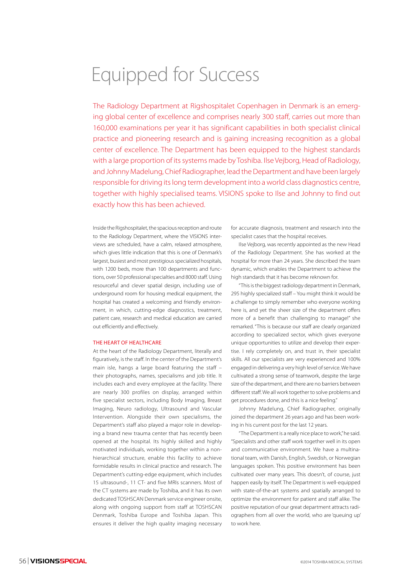# Equipped for Success

The Radiology Department at Rigshospitalet Copenhagen in Denmark is an emerging global center of excellence and comprises nearly 300 staff, carries out more than 160,000 examinations per year it has significant capabilities in both specialist clinical practice and pioneering research and is gaining increasing recognition as a global center of excellence. The Department has been equipped to the highest standards with a large proportion of its systems made by Toshiba. Ilse Vejborg, Head of Radiology, and Johnny Madelung, Chief Radiographer, lead the Department and have been largely responsible for driving its long term development into a world class diagnostics centre, together with highly specialised teams. VISIONS spoke to Ilse and Johnny to find out exactly how this has been achieved.

Inside the Rigshospitalet, the spacious reception and route to the Radiology Department, where the VISIONS interviews are scheduled, have a calm, relaxed atmosphere, which gives little indication that this is one of Denmark's largest, busiest and most prestigious specialized hospitals, with 1200 beds, more than 100 departments and functions, over 50 professional specialties and 8000 staff. Using resourceful and clever spatial design, including use of underground room for housing medical equipment, the hospital has created a welcoming and friendly environment, in which, cutting-edge diagnostics, treatment, patient care, research and medical education are carried out efficiently and effectively.

### THE HEART OF HEALTHCARE

At the heart of the Radiology Department, literally and figuratively, is the staff. In the center of the Department's main isle, hangs a large board featuring the staff – their photographs, names, specialisms and job title. It includes each and every employee at the facility. There are nearly 300 profiles on display, arranged within five specialist sectors, including Body Imaging, Breast Imaging, Neuro radiology, Ultrasound and Vascular Intervention. Alongside their own specialisms, the Department's staff also played a major role in developing a brand new trauma center that has recently been opened at the hospital. Its highly skilled and highly motivated individuals, working together within a nonhierarchical structure, enable this facility to achieve formidable results in clinical practice and research. The Department's cutting-edge equipment, which includes 15 ultrasound-, 11 CT- and five MRIs scanners. Most of the CT systems are made by Toshiba, and it has its own dedicated TOSHSCAN Denmark service engineer onsite, along with ongoing support from staff at TOSHSCAN Denmark, Toshiba Europe and Toshiba Japan. This ensures it deliver the high quality imaging necessary

for accurate diagnosis, treatment and research into the specialist cases that the hospital receives.

Ilse Vejborg, was recently appointed as the new Head of the Radiology Department. She has worked at the hospital for more than 24 years. She described the team dynamic, which enables the Department to achieve the high standards that it has become reknown for.

"This is the biggest radiology department in Denmark, 295 highly specialized staff – You might think it would be a challenge to simply remember who everyone working here is, and yet the sheer size of the department offers more of a benefit than challenging to manage!" she remarked. "This is because our staff are clearly organized according to specialized sector, which gives everyone unique opportunities to utilize and develop their expertise. I rely completely on, and trust in, their specialist skills. All our specialists are very experienced and 100% engaged in delivering a very high level of service. We have cultivated a strong sense of teamwork, despite the large size of the department, and there are no barriers between different staff. We all work together to solve problems and get procedures done, and this is a nice feeling."

Johnny Madelung, Chief Radiographer, originally joined the department 26 years ago and has been working in his current post for the last 12 years.

"The Department is a really nice place to work," he said. "Specialists and other staff work together well in its open and communicative environment. We have a multinational team, with Danish, English, Swedish, or Norwegian languages spoken. This positive environment has been cultivated over many years. This doesn't, of course, just happen easily by itself. The Department is well-equipped with state-of-the-art systems and spatially arranged to optimize the environment for patient and staff alike. The positive reputation of our great department attracts radiographers from all over the world, who are 'queuing up' to work here.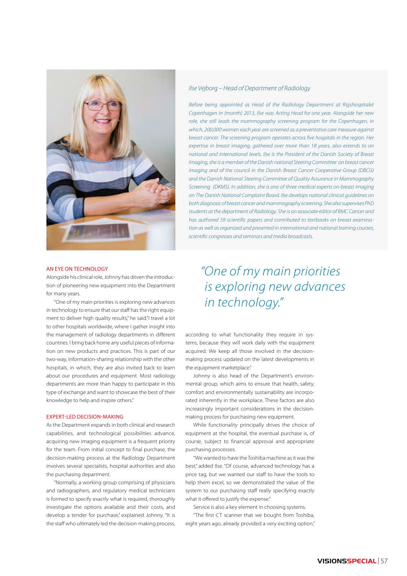

### AN EYE ON TECHNOLOGY

Alongside his clinical role, Johnny has driven the introduction of pioneering new equipment into the Department for many years.

"One of my main priorities is exploring new advances in technology to ensure that our staff has the right equipment to deliver high quality results," he said."I travel a lot to other hospitals worldwide, where I gather insight into the management of radiology departments in different countries. I bring back home any useful pieces of information on new products and practices. This is part of our two-way, information-sharing relationship with the other hospitals, in which, they are also invited back to learn about our procedures and equipment. Most radiology departments are more than happy to participate in this type of exchange and want to showcase the best of their knowledge to help and inspire others."

## EXPERT-LED DECISION-MAKING

As the Department expands in both clinical and research capabilities, and technological possibilities advance, acquiring new imaging equipment is a frequent priority for the team. From initial concept to final purchase, the decision-making process at the Radiology Department involves several specialists, hospital authorities and also the purchasing department.

"Normally, a working group comprising of physicians and radiographers, and regulatory medical technicians is formed to specify exactly what is required, thoroughly investigate the options available and their costs, and develop a tender for purchase," explained Johnny. "It is the staff who ultimately led the decision-making process,

# *Ilse Vejborg – Head of Department of Radiology*

*Before being appointed as Head of the Radiology Department at Rigshospitalet Copenhagen in (month) 2013, Ilse was Acting Head for one year. Alongside her new*  role, she still leads the mammography screening program for the Copenhagen, in *which, 200,000 women each year are screened as a preventative care measure against breast cancer. The screening program operates across five hospitals in the region. Her expertise in breast imaging, gathered over more than 18 years, also extends to on national and international levels. Ilse is the President of the Danish Society of Breast Imaging, she is a member of the Danish national Steering Committee on breast cancer Imaging and of the council in the Danish Breast Cancer Cooperative Group (DBCG) and the Danish National Steering Committee of Quality Assurance in Mammography Screening (DKMS). In addition, she is one of three medical experts on breast imaging on The Danish National Complaint Board. Ilse develops national clinical guidelines on both diagnosis of breast cancer and mammography screening. She also supervises PhD students at the department of Radiology. She is an associate editor of BMC Cancer and has authored 59 scientific papers and contributed to textbooks on breast examination as well as organized and presented in international and national training courses, scientific congresses and seminars and media broadcasts.*

# *"One of my main priorities is exploring new advances in technology."*

according to what functionality they require in systems, because they will work daily with the equipment acquired. We keep all those involved in the decisionmaking process updated on the latest developments in the equipment marketplace."

Johnny is also head of the Department's environmental group, which aims to ensure that health, safety, comfort and environmentally sustainability are incorporated inherently in the workplace. These factors are also increasingly important considerations in the decisionmaking process for purchasing new equipment.

While functionality principally drives the choice of equipment at the hospital, the eventual purchase is, of course, subject to financial approval and appropriate purchasing processes.

"We wanted to have the Toshiba machine as it was the best," added Ilse. "Of course, advanced technology has a price tag, but we wanted our staff to have the tools to help them excel, so we demonstrated the value of the system to our purchasing staff really specifying exactly what it offered to justify the expense."

Service is also a key element in choosing systems.

"The first CT scanner that we bought from Toshiba, eight years ago, already provided a very exciting option,"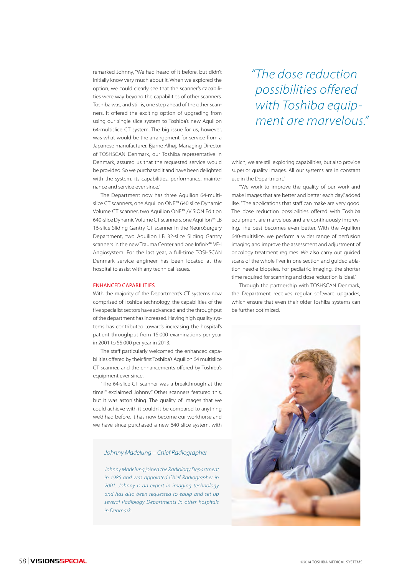remarked Johnny, "We had heard of it before, but didn't initially know very much about it. When we explored the option, we could clearly see that the scanner's capabilities were way beyond the capabilities of other scanners. Toshiba was, and still is, one step ahead of the other scanners. It offered the exciting option of upgrading from using our single slice system to Toshiba's new Aquilion 64-multislice CT system. The big issue for us, however, was what would be the arrangement for service from a Japanese manufacturer. Bjarne Alhøj, Managing Director of TOSHSCAN Denmark, our Toshiba representative in Denmark, assured us that the requested service would be provided. So we purchased it and have been delighted with the system, its capabilities, performance, maintenance and service ever since."

The Department now has three Aquilion 64-multislice CT scanners, one Aquilion ONE™ 640 slice Dynamic Volume CT scanner, two Aquilion ONE™ /ViSION Edition 640-slice Dynamic Volume CT scanners, one Aquilion™ LB 16-slice Sliding Gantry CT scanner in the NeuroSurgery Department, two Aquilion LB 32-slice Sliding Gantry scanners in the new Trauma Center and one Infinix™ VF-I Angiosystem. For the last year, a full-time TOSHSCAN Denmark service engineer has been located at the hospital to assist with any technical issues.

### ENHANCED CAPABILITIES

With the majority of the Department's CT systems now comprised of Toshiba technology, the capabilities of the five specialist sectors have advanced and the throughput of the department has increased. Having high quality systems has contributed towards increasing the hospital's patient throughput from 15,000 examinations per year in 2001 to 55.000 per year in 2013.

The staff particularly welcomed the enhanced capabilities offered by their first Toshiba's Aquilion 64 multislice CT scanner, and the enhancements offered by Toshiba's equipment ever since.

"The 64-slice CT scanner was a breakthrough at the time!"' exclaimed Johnny." Other scanners featured this, but it was astonishing. The quality of images that we could achieve with it couldn't be compared to anything we'd had before. It has now become our workhorse and we have since purchased a new 640 slice system, with

## *Johnny Madelung – Chief Radiographer*

*Johnny Madelung joined the Radiology Department in 1985 and was appointed Chief Radiographer in 2001. Johnny is an expert in imaging technology and has also been requested to equip and set up several Radiology Departments in other hospitals in Denmark.* 

*"The dose reduction possibilities offered with Toshiba equipment are marvelous."*

which, we are still exploring capabilities, but also provide superior quality images. All our systems are in constant use in the Department."

"We work to improve the quality of our work and make images that are better and better each day," added Ilse. "The applications that staff can make are very good. The dose reduction possibilities offered with Toshiba equipment are marvelous and are continuously improving. The best becomes even better. With the Aquilion 640-multislice, we perform a wider range of perfusion imaging and improve the assessment and adjustment of oncology treatment regimes. We also carry out guided scans of the whole liver in one section and guided ablation needle biopsies. For pediatric imaging, the shorter time required for scanning and dose reduction is ideal."

Through the partnership with TOSHSCAN Denmark, the Department receives regular software upgrades, which ensure that even their older Toshiba systems can be further optimized.